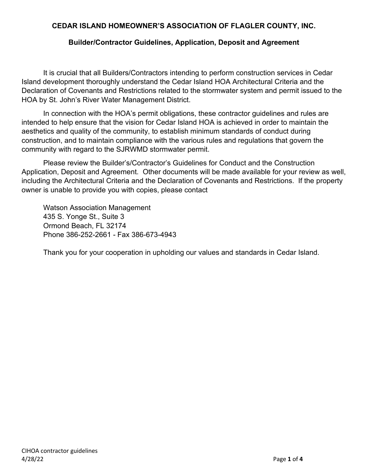# **CEDAR ISLAND HOMEOWNER'S ASSOCIATION OF FLAGLER COUNTY, INC.**

## **Builder/Contractor Guidelines, Application, Deposit and Agreement**

It is crucial that all Builders/Contractors intending to perform construction services in Cedar Island development thoroughly understand the Cedar Island HOA Architectural Criteria and the Declaration of Covenants and Restrictions related to the stormwater system and permit issued to the HOA by St. John's River Water Management District.

In connection with the HOA's permit obligations, these contractor guidelines and rules are intended to help ensure that the vision for Cedar Island HOA is achieved in order to maintain the aesthetics and quality of the community, to establish minimum standards of conduct during construction, and to maintain compliance with the various rules and regulations that govern the community with regard to the SJRWMD stormwater permit.

Please review the Builder's/Contractor's Guidelines for Conduct and the Construction Application, Deposit and Agreement. Other documents will be made available for your review as well, including the Architectural Criteria and the Declaration of Covenants and Restrictions. If the property owner is unable to provide you with copies, please contact

Watson Association Management 435 S. Yonge St., Suite 3 Ormond Beach, FL 32174 Phone 386-252-2661 - Fax 386-673-4943

Thank you for your cooperation in upholding our values and standards in Cedar Island.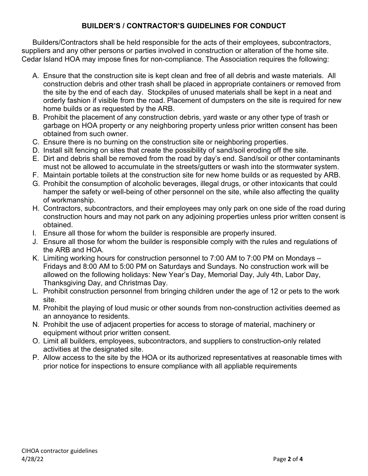# **BUILDER'S / CONTRACTOR'S GUIDELINES FOR CONDUCT**

Builders/Contractors shall be held responsible for the acts of their employees, subcontractors, suppliers and any other persons or parties involved in construction or alteration of the home site. Cedar Island HOA may impose fines for non-compliance. The Association requires the following:

- A. Ensure that the construction site is kept clean and free of all debris and waste materials. All construction debris and other trash shall be placed in appropriate containers or removed from the site by the end of each day. Stockpiles of unused materials shall be kept in a neat and orderly fashion if visible from the road. Placement of dumpsters on the site is required for new home builds or as requested by the ARB.
- B. Prohibit the placement of any construction debris, yard waste or any other type of trash or garbage on HOA property or any neighboring property unless prior written consent has been obtained from such owner.
- C. Ensure there is no burning on the construction site or neighboring properties.
- D. Install silt fencing on sites that create the possibility of sand/soil eroding off the site.
- E. Dirt and debris shall be removed from the road by day's end. Sand/soil or other contaminants must not be allowed to accumulate in the streets/gutters or wash into the stormwater system.
- F. Maintain portable toilets at the construction site for new home builds or as requested by ARB.
- G. Prohibit the consumption of alcoholic beverages, illegal drugs, or other intoxicants that could hamper the safety or well-being of other personnel on the site, while also affecting the quality of workmanship.
- H. Contractors, subcontractors, and their employees may only park on one side of the road during construction hours and may not park on any adjoining properties unless prior written consent is obtained.
- I. Ensure all those for whom the builder is responsible are properly insured.
- J. Ensure all those for whom the builder is responsible comply with the rules and regulations of the ARB and HOA.
- K. Limiting working hours for construction personnel to 7:00 AM to 7:00 PM on Mondays Fridays and 8:00 AM to 5:00 PM on Saturdays and Sundays. No construction work will be allowed on the following holidays: New Year's Day, Memorial Day, July 4th, Labor Day, Thanksgiving Day, and Christmas Day.
- L. Prohibit construction personnel from bringing children under the age of 12 or pets to the work site.
- M. Prohibit the playing of loud music or other sounds from non-construction activities deemed as an annoyance to residents.
- N. Prohibit the use of adjacent properties for access to storage of material, machinery or equipment without prior written consent.
- O. Limit all builders, employees, subcontractors, and suppliers to construction-only related activities at the designated site.
- P. Allow access to the site by the HOA or its authorized representatives at reasonable times with prior notice for inspections to ensure compliance with all appliable requirements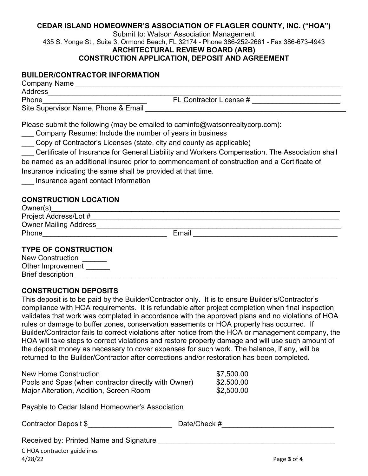### **CEDAR ISLAND HOMEOWNER'S ASSOCIATION OF FLAGLER COUNTY, INC. ("HOA")**

Submit to: Watson Association Management 435 S. Yonge St., Suite 3, Ormond Beach, FL 32174 - Phone 386-252-2661 - Fax 386-673-4943 **ARCHITECTURAL REVIEW BOARD (ARB)**

## **CONSTRUCTION APPLICATION, DEPOSIT AND AGREEMENT**

#### **BUILDER/CONTRACTOR INFORMATION**

| Phone                                                                                                                                                                                                                                                                                                                    | FL Contractor License # __________________________                                                                                                                                             |
|--------------------------------------------------------------------------------------------------------------------------------------------------------------------------------------------------------------------------------------------------------------------------------------------------------------------------|------------------------------------------------------------------------------------------------------------------------------------------------------------------------------------------------|
|                                                                                                                                                                                                                                                                                                                          |                                                                                                                                                                                                |
| Please submit the following (may be emailed to caminfo@watsonrealtycorp.com):<br>Company Resume: Include the number of years in business<br>Copy of Contractor's Licenses (state, city and county as applicable)<br>Insurance indicating the same shall be provided at that time.<br>Insurance agent contact information | Certificate of Insurance for General Liability and Workers Compensation. The Association shall<br>be named as an additional insured prior to commencement of construction and a Certificate of |
| <b>CONSTRUCTION LOCATION</b>                                                                                                                                                                                                                                                                                             |                                                                                                                                                                                                |
|                                                                                                                                                                                                                                                                                                                          |                                                                                                                                                                                                |
|                                                                                                                                                                                                                                                                                                                          |                                                                                                                                                                                                |
|                                                                                                                                                                                                                                                                                                                          |                                                                                                                                                                                                |
|                                                                                                                                                                                                                                                                                                                          | Email                                                                                                                                                                                          |
| <b>TYPE OF CONSTRUCTION</b><br>New Construction ______<br>Other Improvement ______<br><b>Brief description</b>                                                                                                                                                                                                           |                                                                                                                                                                                                |

#### **CONSTRUCTION DEPOSITS**

This deposit is to be paid by the Builder/Contractor only. It is to ensure Builder's/Contractor's compliance with HOA requirements. It is refundable after project completion when final inspection validates that work was completed in accordance with the approved plans and no violations of HOA rules or damage to buffer zones, conservation easements or HOA property has occurred. If Builder/Contractor fails to correct violations after notice from the HOA or management company, the HOA will take steps to correct violations and restore property damage and will use such amount of the deposit money as necessary to cover expenses for such work. The balance, if any, will be returned to the Builder/Contractor after corrections and/or restoration has been completed.

| New Home Construction                                | \$7,500.00 |
|------------------------------------------------------|------------|
| Pools and Spas (when contractor directly with Owner) | \$2.500.00 |
| Major Alteration, Addition, Screen Room              | \$2,500.00 |

Payable to Cedar Island Homeowner's Association

| Contractor Deposit \$ | Date/Check |
|-----------------------|------------|
|-----------------------|------------|

Received by: Printed Name and Signature

 $\#$